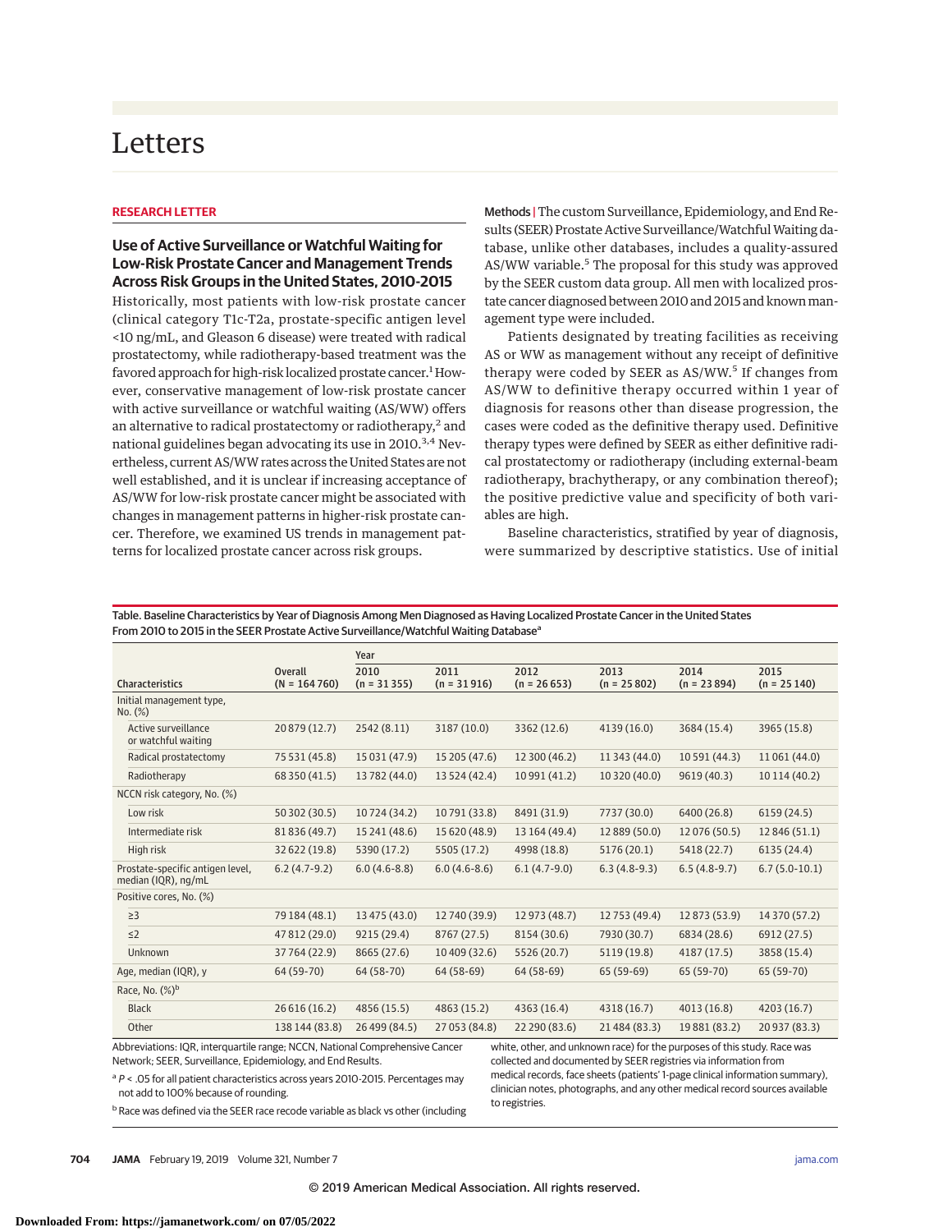# Letters

### **RESEARCH LETTER**

## **Use of Active Surveillance or Watchful Waiting for Low-Risk Prostate Cancer and Management Trends Across Risk Groups in the United States, 2010-2015**

Historically, most patients with low-risk prostate cancer (clinical category T1c-T2a, prostate-specific antigen level <10 ng/mL, and Gleason 6 disease) were treated with radical prostatectomy, while radiotherapy-based treatment was the favored approach for high-risk localized prostate cancer.<sup>1</sup> However, conservative management of low-risk prostate cancer with active surveillance or watchful waiting (AS/WW) offers an alternative to radical prostatectomy or radiotherapy, $2$  and national guidelines began advocating its use in 2010.<sup>3,4</sup> Nevertheless, current AS/WW rates across the United States are not well established, and it is unclear if increasing acceptance of AS/WW for low-risk prostate cancer might be associated with changes in management patterns in higher-risk prostate cancer. Therefore, we examined US trends in management patterns for localized prostate cancer across risk groups.

Methods |The custom Surveillance, Epidemiology, and End Results (SEER) Prostate Active Surveillance/Watchful Waiting database, unlike other databases, includes a quality-assured AS/WW variable.<sup>5</sup> The proposal for this study was approved by the SEER custom data group. All men with localized prostate cancer diagnosed between 2010 and 2015 and known management type were included.

Patients designated by treating facilities as receiving AS or WW as management without any receipt of definitive therapy were coded by SEER as  $AS/WW$ <sup>5</sup> If changes from AS/WW to definitive therapy occurred within 1 year of diagnosis for reasons other than disease progression, the cases were coded as the definitive therapy used. Definitive therapy types were defined by SEER as either definitive radical prostatectomy or radiotherapy (including external-beam radiotherapy, brachytherapy, or any combination thereof); the positive predictive value and specificity of both variables are high.

Baseline characteristics, stratified by year of diagnosis, were summarized by descriptive statistics. Use of initial

|                                                                                                                                                                                                                                                                                             |                           | Year                  |                       |                       |                       |                       |                       |
|---------------------------------------------------------------------------------------------------------------------------------------------------------------------------------------------------------------------------------------------------------------------------------------------|---------------------------|-----------------------|-----------------------|-----------------------|-----------------------|-----------------------|-----------------------|
| <b>Characteristics</b>                                                                                                                                                                                                                                                                      | Overall<br>$(N = 164760)$ | 2010<br>$(n = 31355)$ | 2011<br>$(n = 31916)$ | 2012<br>$(n = 26653)$ | 2013<br>$(n = 25802)$ | 2014<br>$(n = 23894)$ | 2015<br>$(n = 25140)$ |
| Initial management type,<br>No. (%)                                                                                                                                                                                                                                                         |                           |                       |                       |                       |                       |                       |                       |
| Active surveillance<br>or watchful waiting                                                                                                                                                                                                                                                  | 20 879 (12.7)             | 2542 (8.11)           | 3187 (10.0)           | 3362 (12.6)           | 4139 (16.0)           | 3684 (15.4)           | 3965 (15.8)           |
| Radical prostatectomy                                                                                                                                                                                                                                                                       | 75 531 (45.8)             | 15 031 (47.9)         | 15 205 (47.6)         | 12 300 (46.2)         | 11 343 (44.0)         | 10 591 (44.3)         | 11 061 (44.0)         |
| Radiotherapy                                                                                                                                                                                                                                                                                | 68 350 (41.5)             | 13782 (44.0)          | 13 524 (42.4)         | 10 991 (41.2)         | 10 320 (40.0)         | 9619 (40.3)           | 10 114 (40.2)         |
| NCCN risk category, No. (%)                                                                                                                                                                                                                                                                 |                           |                       |                       |                       |                       |                       |                       |
| Low risk                                                                                                                                                                                                                                                                                    | 50 302 (30.5)             | 10724 (34.2)          | 10791 (33.8)          | 8491 (31.9)           | 7737 (30.0)           | 6400 (26.8)           | 6159(24.5)            |
| Intermediate risk                                                                                                                                                                                                                                                                           | 81 836 (49.7)             | 15 241 (48.6)         | 15 620 (48.9)         | 13 164 (49.4)         | 12 889 (50.0)         | 12 076 (50.5)         | 12 846 (51.1)         |
| High risk                                                                                                                                                                                                                                                                                   | 32 622 (19.8)             | 5390 (17.2)           | 5505 (17.2)           | 4998 (18.8)           | 5176 (20.1)           | 5418 (22.7)           | 6135 (24.4)           |
| Prostate-specific antigen level,<br>median (IQR), ng/mL                                                                                                                                                                                                                                     | $6.2(4.7-9.2)$            | $6.0(4.6-8.8)$        | $6.0(4.6-8.6)$        | $6.1(4.7-9.0)$        | $6.3(4.8-9.3)$        | $6.5(4.8-9.7)$        | $6.7(5.0-10.1)$       |
| Positive cores, No. (%)                                                                                                                                                                                                                                                                     |                           |                       |                       |                       |                       |                       |                       |
| $\geq$ 3                                                                                                                                                                                                                                                                                    | 79 184 (48.1)             | 13 475 (43.0)         | 12740 (39.9)          | 12 973 (48.7)         | 12753 (49.4)          | 12 873 (53.9)         | 14 370 (57.2)         |
| $\leq$ 2                                                                                                                                                                                                                                                                                    | 47 812 (29.0)             | 9215 (29.4)           | 8767 (27.5)           | 8154 (30.6)           | 7930 (30.7)           | 6834 (28.6)           | 6912 (27.5)           |
| <b>Unknown</b>                                                                                                                                                                                                                                                                              | 37 764 (22.9)             | 8665 (27.6)           | 10 409 (32.6)         | 5526 (20.7)           | 5119 (19.8)           | 4187 (17.5)           | 3858 (15.4)           |
| Age, median (IQR), y                                                                                                                                                                                                                                                                        | 64 (59-70)                | 64 (58-70)            | 64 (58-69)            | 64 (58-69)            | 65 (59-69)            | 65 (59-70)            | 65 (59-70)            |
| Race, No. $(\%)^b$                                                                                                                                                                                                                                                                          |                           |                       |                       |                       |                       |                       |                       |
| <b>Black</b>                                                                                                                                                                                                                                                                                | 26 616 (16.2)             | 4856 (15.5)           | 4863 (15.2)           | 4363 (16.4)           | 4318 (16.7)           | 4013 (16.8)           | 4203 (16.7)           |
| Other                                                                                                                                                                                                                                                                                       | 138 144 (83.8)            | 26 499 (84.5)         | 27 053 (84.8)         | 22 290 (83.6)         | 21484 (83.3)          | 19881 (83.2)          | 20 937 (83.3)         |
| Abbreviations: IQR, interquartile range; NCCN, National Comprehensive Cancer<br>white, other, and unknown race) for the purposes of this study. Race was<br>Network: SEER. Surveillance. Epidemiology, and End Results.<br>collected and documented by SEER registries via information from |                           |                       |                       |                       |                       |                       |                       |

Table. Baseline Characteristics by Year of Diagnosis Among Men Diagnosed as Having Localized Prostate Cancer in the United States From 2010 to 2015 in the SEER Prostate Active Surveillance/Watchful Waiting Database<sup>a</sup>

 $a P$  < .05 for all patient characteristics across years 2010-2015. Percentages may not add to 100% because of rounding.

**b** Race was defined via the SEER race recode variable as black vs other (including

collected and documented by SEER registries via information from medical records, face sheets (patients' 1-page clinical information summary), clinician notes, photographs, and any other medical record sources available to registries.

**704 JAMA** February 19, 2019 Volume 321, Number 7 **(Reprinted)** [jama.com](http://www.jama.com/?utm_campaign=articlePDF%26utm_medium=articlePDFlink%26utm_source=articlePDF%26utm_content=jama.2018.19941)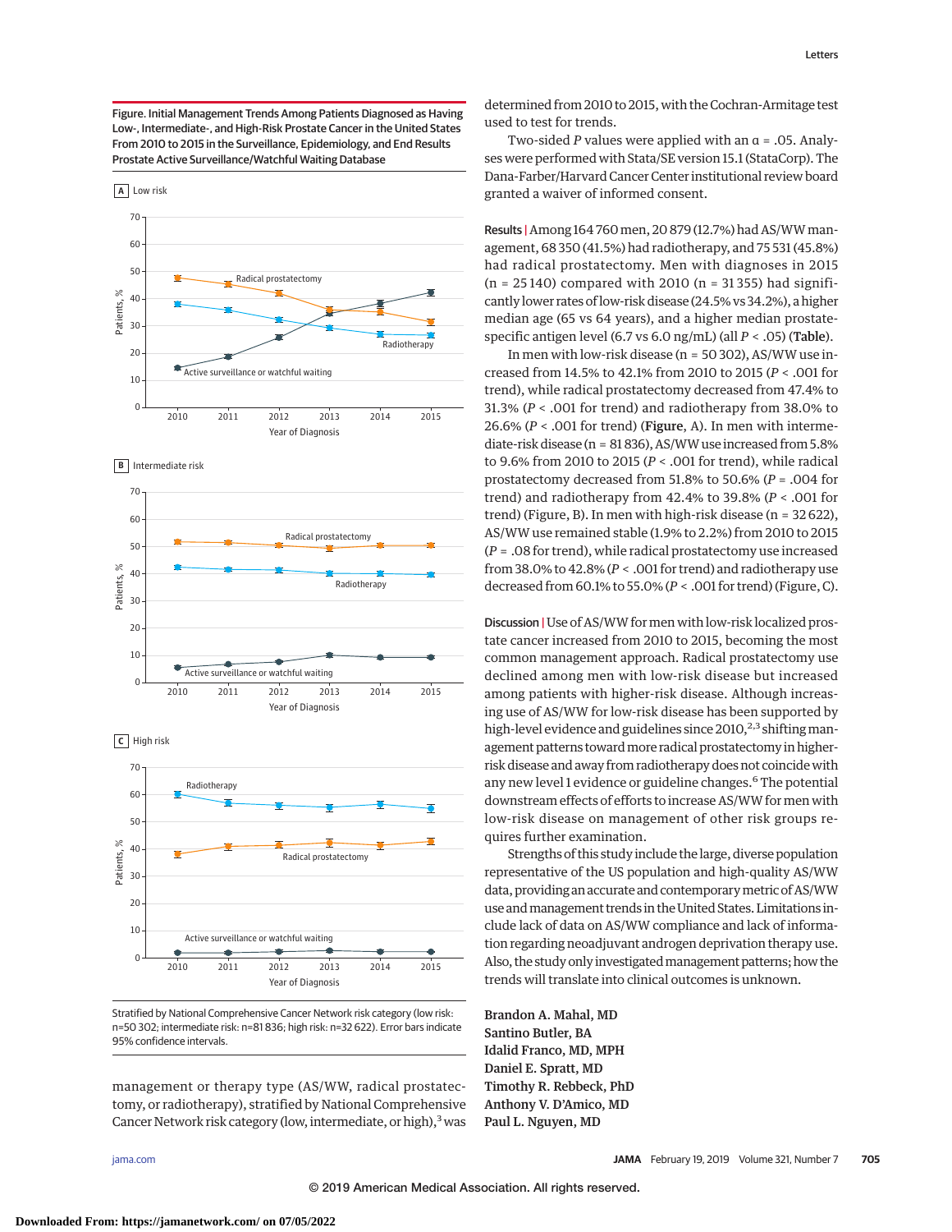Figure. Initial Management Trends Among Patients Diagnosed as Having Low-, Intermediate-, and High-Risk Prostate Cancer in the United States From 2010 to 2015 in the Surveillance, Epidemiology, and End Results Prostate Active Surveillance/Watchful Waiting Database







Stratified by National Comprehensive Cancer Network risk category (low risk: n=50 302; intermediate risk: n=81 836; high risk: n=32 622). Error bars indicate 95% confidence intervals.

management or therapy type (AS/WW, radical prostatectomy, or radiotherapy), stratified by National Comprehensive Cancer Network risk category (low, intermediate, or high),<sup>3</sup> was

determined from 2010 to 2015, with the Cochran-Armitage test used to test for trends.

Two-sided *P* values were applied with an α = .05. Analyses were performed with Stata/SE version 15.1 (StataCorp). The Dana-Farber/Harvard Cancer Center institutional review board granted a waiver of informed consent.

Results | Among 164 760men, 20 879 (12.7%) had AS/WWmanagement, 68 350 (41.5%) had radiotherapy, and 75 531 (45.8%) had radical prostatectomy. Men with diagnoses in 2015  $(n = 25140)$  compared with 2010  $(n = 31355)$  had significantly lower rates of low-risk disease (24.5% vs 34.2%), a higher median age (65 vs 64 years), and a higher median prostatespecific antigen level (6.7 vs 6.0 ng/mL) (all *P* < .05) (Table).

In men with low-risk disease (n = 50 302), AS/WW use increased from 14.5% to 42.1% from 2010 to 2015 (*P* < .001 for trend), while radical prostatectomy decreased from 47.4% to 31.3% (*P* < .001 for trend) and radiotherapy from 38.0% to 26.6% (*P* < .001 for trend) (Figure, A). In men with intermediate-risk disease (n = 81 836), AS/WW use increased from 5.8% to 9.6% from 2010 to 2015 (*P* < .001 for trend), while radical prostatectomy decreased from 51.8% to 50.6% (*P* = .004 for trend) and radiotherapy from 42.4% to 39.8% (*P* < .001 for trend) (Figure, B). In men with high-risk disease (n = 32 622), AS/WW use remained stable (1.9% to 2.2%) from 2010 to 2015 (*P* = .08 for trend), while radical prostatectomy use increased from 38.0% to 42.8% (*P* < .001 for trend) and radiotherapy use decreased from 60.1% to 55.0% (*P* < .001 for trend) (Figure, C).

Discussion | Use of AS/WW for men with low-risk localized prostate cancer increased from 2010 to 2015, becoming the most common management approach. Radical prostatectomy use declined among men with low-risk disease but increased among patients with higher-risk disease. Although increasing use of AS/WW for low-risk disease has been supported by high-level evidence and guidelines since 2010,<sup>2,3</sup> shifting management patterns toward more radical prostatectomy in higherrisk disease and away from radiotherapy does not coincidewith any new level 1 evidence or guideline changes.<sup>6</sup> The potential downstream effects of efforts to increase AS/WW formen with low-risk disease on management of other risk groups requires further examination.

Strengths of this study include the large, diverse population representative of the US population and high-quality AS/WW data, providing an accurate and contemporarymetric of AS/WW use andmanagement trends in the United States. Limitations include lack of data on AS/WW compliance and lack of information regarding neoadjuvant androgen deprivation therapy use. Also, the study only investigated management patterns; how the trends will translate into clinical outcomes is unknown.

Brandon A. Mahal, MD Santino Butler, BA Idalid Franco, MD, MPH Daniel E. Spratt, MD Timothy R. Rebbeck, PhD Anthony V. D'Amico, MD Paul L. Nguyen, MD